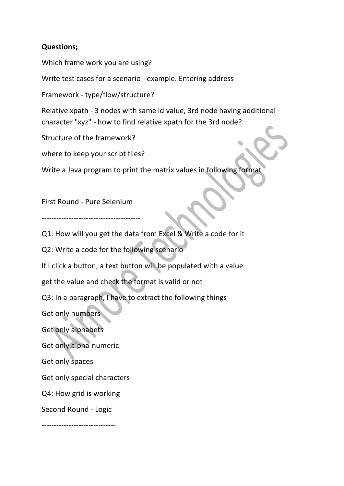## **Questions;**

Which frame work you are using?

Write test cases for a scenario - example. Entering address

Framework - type/flow/structure?

Relative xpath - 3 nodes with same id value, 3rd node having additional character "xyz" - how to find relative xpath for the 3rd node?

Structure of the framework?

where to keep your script files?

Write a Java program to print the matrix values in following format

First Round - Pure Selenium

----------------------------------------

Q1: How will you get the data from Excel & Write a code for it

Q2: Write a code for the following scenario

If I click a button, a text button will be populated with a value

get the value and check the format is valid or not

Q3: In a paragraph, I have to extract the following things

Get only numbers

Get only alphabets

Get only alpha-numeric

Get only spaces

Get only special characters

Q4: How grid is working

Second Round - Logic

------------------------------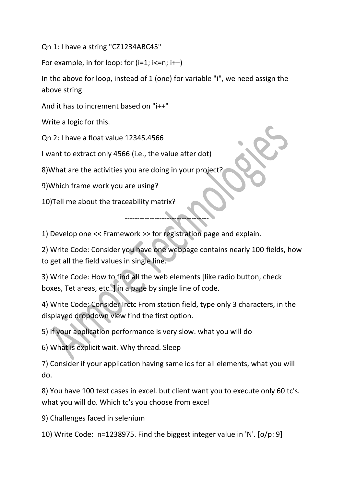Qn 1: I have a string "CZ1234ABC45"

For example, in for loop: for  $(i=1; i<=n; i++)$ 

In the above for loop, instead of 1 (one) for variable "i", we need assign the above string

And it has to increment based on "i++"

Write a logic for this.

Qn 2: I have a float value 12345.4566

I want to extract only 4566 (i.e., the value after dot)

8)What are the activities you are doing in your project?

9)Which frame work you are using?

10)Tell me about the traceability matrix?

1) Develop one << Framework >> for registration page and explain.

2) Write Code: Consider you have one webpage contains nearly 100 fields, how to get all the field values in single line.

----------------------------------

3) Write Code: How to find all the web elements [like radio button, check boxes, Tet areas, etc..] in a page by single line of code.

4) Write Code: Consider Irctc From station field, type only 3 characters, in the displayed dropdown view find the first option.

5) If your application performance is very slow. what you will do

6) What is explicit wait. Why thread. Sleep

7) Consider if your application having same ids for all elements, what you will do.

8) You have 100 text cases in excel. but client want you to execute only 60 tc's. what you will do. Which tc's you choose from excel

9) Challenges faced in selenium

10) Write Code: n=1238975. Find the biggest integer value in 'N'. [o/p: 9]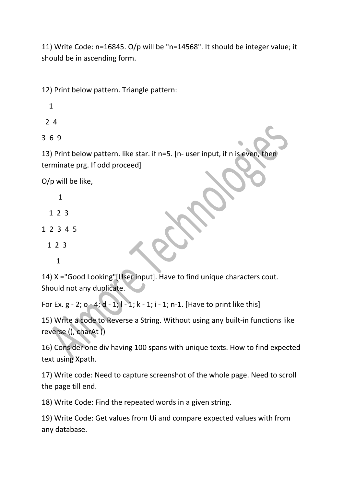11) Write Code: n=16845. O/p will be "n=14568". It should be integer value; it should be in ascending form.

12) Print below pattern. Triangle pattern:

- 1
- 2 4

3 6 9

13) Print below pattern. like star. if n=5. [n- user input, if n is even, then terminate prg. If odd proceed]

O/p will be like,

- 1
- 1 2 3
- 1 2 3 4 5
	- 1 2 3
		- 1

14) X ="Good Looking"[User input]. Have to find unique characters cout. Should not any duplicate.

For Ex.  $g - 2$ ;  $o - 4$ ;  $d - 1$ ;  $l - 1$ ;  $k - 1$ ;  $i - 1$ ; n-1. [Have to print like this]

15) Write a code to Reverse a String. Without using any built-in functions like reverse (), charAt ()

16) Consider one div having 100 spans with unique texts. How to find expected text using Xpath.

17) Write code: Need to capture screenshot of the whole page. Need to scroll the page till end.

18) Write Code: Find the repeated words in a given string.

19) Write Code: Get values from Ui and compare expected values with from any database.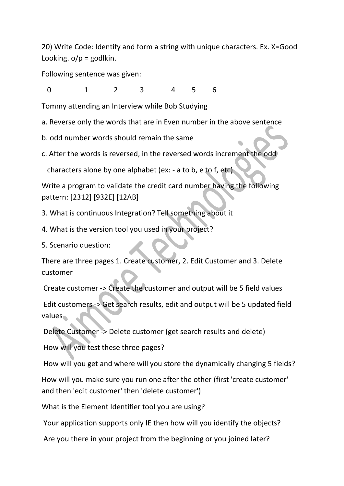20) Write Code: Identify and form a string with unique characters. Ex. X=Good Looking.  $o/p =$  godlkin.

Following sentence was given:

0 1 2 3 4 5 6

Tommy attending an Interview while Bob Studying

a. Reverse only the words that are in Even number in the above sentence

b. odd number words should remain the same

c. After the words is reversed, in the reversed words increment the odd

characters alone by one alphabet (ex: - a to b, e to f, etc)

Write a program to validate the credit card number having the following pattern: [2312] [932E] [12AB]

- 3. What is continuous Integration? Tell something about it
- 4. What is the version tool you used in your project?

5. Scenario question:

There are three pages 1. Create customer, 2. Edit Customer and 3. Delete customer

Create customer -> Create the customer and output will be 5 field values

Edit customers -> Get search results, edit and output will be 5 updated field values

Delete Customer -> Delete customer (get search results and delete)

How will you test these three pages?

How will you get and where will you store the dynamically changing 5 fields?

How will you make sure you run one after the other (first 'create customer' and then 'edit customer' then 'delete customer')

What is the Element Identifier tool you are using?

Your application supports only IE then how will you identify the objects?

Are you there in your project from the beginning or you joined later?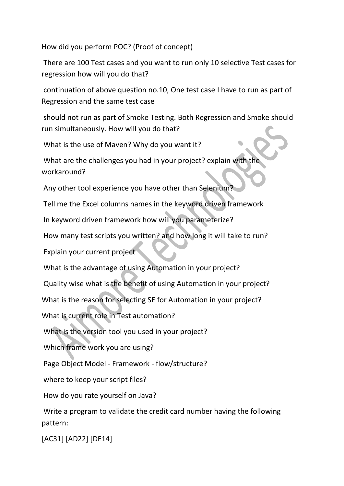How did you perform POC? (Proof of concept)

There are 100 Test cases and you want to run only 10 selective Test cases for regression how will you do that?

continuation of above question no.10, One test case I have to run as part of Regression and the same test case

should not run as part of Smoke Testing. Both Regression and Smoke should run simultaneously. How will you do that?

What is the use of Maven? Why do you want it?

What are the challenges you had in your project? explain with the workaround?

Any other tool experience you have other than Selenium?

Tell me the Excel columns names in the keyword driven framework

In keyword driven framework how will you parameterize?

How many test scripts you written? and how long it will take to run?

Explain your current project

What is the advantage of using Automation in your project?

Quality wise what is the benefit of using Automation in your project?

What is the reason for selecting SE for Automation in your project?

What is current role in Test automation?

What is the version tool you used in your project?

Which frame work you are using?

Page Object Model - Framework - flow/structure?

where to keep your script files?

How do you rate yourself on Java?

Write a program to validate the credit card number having the following pattern:

[AC31] [AD22] [DE14]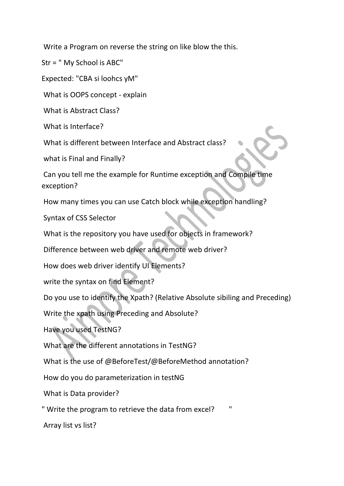Write a Program on reverse the string on like blow the this.

Str = " My School is ABC"

Expected: "CBA si loohcs yM"

What is OOPS concept - explain

What is Abstract Class?

What is Interface?

What is different between Interface and Abstract class?

what is Final and Finally?

Can you tell me the example for Runtime exception and Compile time exception?

How many times you can use Catch block while exception handling?

Syntax of CSS Selector

What is the repository you have used for objects in framework?

Difference between web driver and remote web driver?

How does web driver identify UI Elements?

write the syntax on find Element?

Do you use to identify the Xpath? (Relative Absolute sibiling and Preceding)

Write the xpath using Preceding and Absolute?

Have you used TestNG?

What are the different annotations in TestNG?

What is the use of @BeforeTest/@BeforeMethod annotation?

How do you do parameterization in testNG

What is Data provider?

" Write the program to retrieve the data from excel? "

Array list vs list?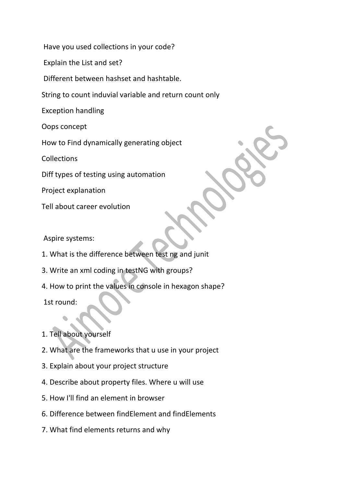Have you used collections in your code?

Explain the List and set?

Different between hashset and hashtable.

String to count induvial variable and return count only

Exception handling

Oops concept

How to Find dynamically generating object

**Collections** 

Diff types of testing using automation

Project explanation

Tell about career evolution

Aspire systems:

- 1. What is the difference between test ng and junit
- 3. Write an xml coding in testNG with groups?
- 4. How to print the values in console in hexagon shape?

1st round:

## 1. Tell about yourself

- 2. What are the frameworks that u use in your project
- 3. Explain about your project structure
- 4. Describe about property files. Where u will use
- 5. How I'll find an element in browser
- 6. Difference between findElement and findElements
- 7. What find elements returns and why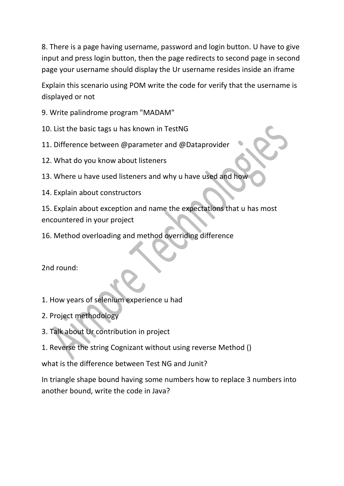8. There is a page having username, password and login button. U have to give input and press login button, then the page redirects to second page in second page your username should display the Ur username resides inside an iframe

Explain this scenario using POM write the code for verify that the username is displayed or not

- 9. Write palindrome program "MADAM"
- 10. List the basic tags u has known in TestNG
- 11. Difference between @parameter and @Dataprovider
- 12. What do you know about listeners
- 13. Where u have used listeners and why u have used and how
- 14. Explain about constructors

15. Explain about exception and name the expectations that u has most encountered in your project

16. Method overloading and method overriding difference

2nd round:

- 1. How years of selenium experience u had
- 2. Project methodology
- 3. Talk about Ur contribution in project
- 1. Reverse the string Cognizant without using reverse Method ()

what is the difference between Test NG and Junit?

In triangle shape bound having some numbers how to replace 3 numbers into another bound, write the code in Java?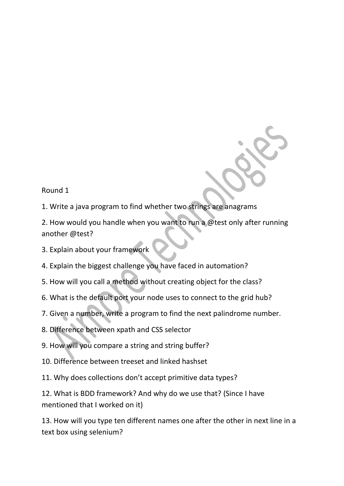Round 1

1. Write a java program to find whether two strings are anagrams

2. How would you handle when you want to run a @test only after running another @test?

- 3. Explain about your framework
- 4. Explain the biggest challenge you have faced in automation?
- 5. How will you call a method without creating object for the class?
- 6. What is the default port your node uses to connect to the grid hub?
- 7. Given a number, write a program to find the next palindrome number.
- 8. Difference between xpath and CSS selector
- 9. How will you compare a string and string buffer?
- 10. Difference between treeset and linked hashset
- 11. Why does collections don't accept primitive data types?

12. What is BDD framework? And why do we use that? (Since I have mentioned that I worked on it)

13. How will you type ten different names one after the other in next line in a text box using selenium?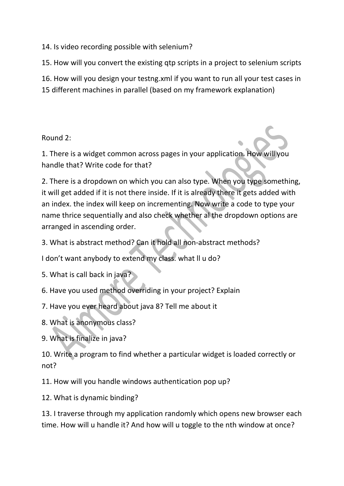14. Is video recording possible with selenium?

15. How will you convert the existing qtp scripts in a project to selenium scripts

16. How will you design your testng.xml if you want to run all your test cases in

15 different machines in parallel (based on my framework explanation)

Round 2:

1. There is a widget common across pages in your application. How will you handle that? Write code for that?

2. There is a dropdown on which you can also type. When you type something, it will get added if it is not there inside. If it is already there it gets added with an index. the index will keep on incrementing. Now write a code to type your name thrice sequentially and also check whether al the dropdown options are arranged in ascending order.

3. What is abstract method? Can it hold all non-abstract methods?

I don't want anybody to extend my class. what ll u do?

5. What is call back in java?

6. Have you used method overriding in your project? Explain

7. Have you ever heard about java 8? Tell me about it

8. What is anonymous class?

9. What is finalize in java?

10. Write a program to find whether a particular widget is loaded correctly or not?

11. How will you handle windows authentication pop up?

12. What is dynamic binding?

13. I traverse through my application randomly which opens new browser each time. How will u handle it? And how will u toggle to the nth window at once?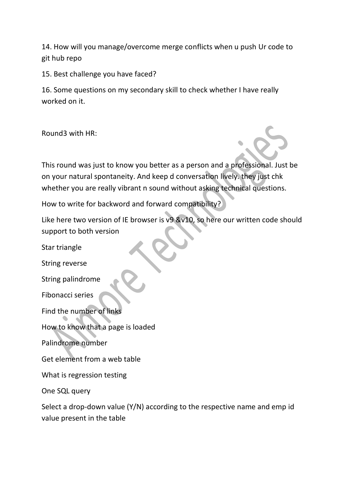14. How will you manage/overcome merge conflicts when u push Ur code to git hub repo

15. Best challenge you have faced?

16. Some questions on my secondary skill to check whether I have really worked on it.

Round3 with HR:

This round was just to know you better as a person and a professional. Just be on your natural spontaneity. And keep d conversation lively. they just chk whether you are really vibrant n sound without asking technical questions.

How to write for backword and forward compatibility?

Like here two version of IE browser is v9 &v10, so here our written code should support to both version

Star triangle String reverse String palindrome Fibonacci series Find the number of links How to know that a page is loaded Palindrome number Get element from a web table What is regression testing One SQL query

Select a drop-down value (Y/N) according to the respective name and emp id value present in the table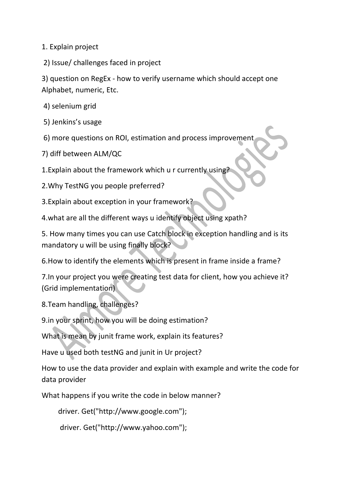1. Explain project

2) Issue/ challenges faced in project

3) question on RegEx - how to verify username which should accept one Alphabet, numeric, Etc.

4) selenium grid

5) Jenkins's usage

6) more questions on ROI, estimation and process improvement

7) diff between ALM/QC

1. Explain about the framework which u r currently using?

2.Why TestNG you people preferred?

3.Explain about exception in your framework?

4.what are all the different ways u identify object using xpath?

5. How many times you can use Catch block in exception handling and is its mandatory u will be using finally block?

6.How to identify the elements which is present in frame inside a frame?

7.In your project you were creating test data for client, how you achieve it? (Grid implementation)

8.Team handling, challenges?

9.in your sprint, how you will be doing estimation?

What is mean by junit frame work, explain its features?

Have u used both testNG and junit in Ur project?

How to use the data provider and explain with example and write the code for data provider

What happens if you write the code in below manner?

```
 driver. Get("http://www.google.com");
```

```
 driver. Get("http://www.yahoo.com");
```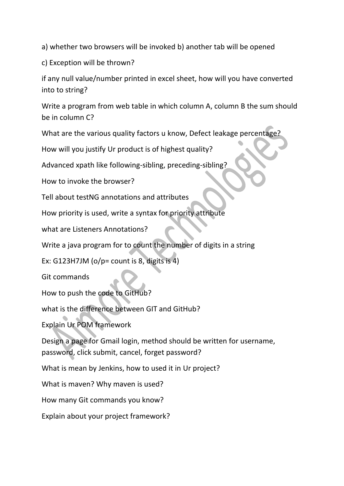a) whether two browsers will be invoked b) another tab will be opened

c) Exception will be thrown?

if any null value/number printed in excel sheet, how will you have converted into to string?

Write a program from web table in which column A, column B the sum should be in column C?

What are the various quality factors u know, Defect leakage percentage?

How will you justify Ur product is of highest quality?

Advanced xpath like following-sibling, preceding-sibling?

How to invoke the browser?

Tell about testNG annotations and attributes

How priority is used, write a syntax for priority attribute

what are Listeners Annotations?

Write a java program for to count the number of digits in a string

Ex: G123H7JM ( $o/p$  = count is 8, digits is 4)

Git commands

How to push the code to GitHub?

what is the difference between GIT and GitHub?

Explain Ur POM framework

Design a page for Gmail login, method should be written for username, password, click submit, cancel, forget password?

What is mean by Jenkins, how to used it in Ur project?

What is maven? Why maven is used?

How many Git commands you know?

Explain about your project framework?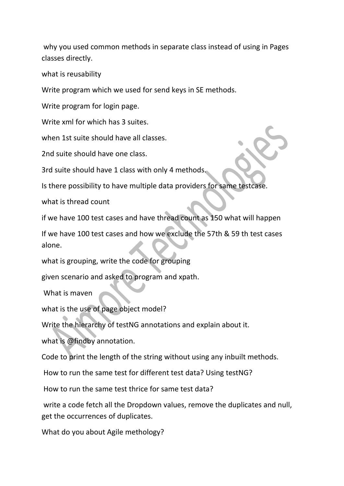why you used common methods in separate class instead of using in Pages classes directly.

what is reusability

Write program which we used for send keys in SE methods.

Write program for login page.

Write xml for which has 3 suites.

when 1st suite should have all classes.

2nd suite should have one class.

3rd suite should have 1 class with only 4 methods.

Is there possibility to have multiple data providers for same testcase.

what is thread count

if we have 100 test cases and have thread count as 150 what will happen

If we have 100 test cases and how we exclude the 57th & 59 th test cases alone.

what is grouping, write the code for grouping

given scenario and asked to program and xpath.

What is maven

what is the use of page object model?

Write the hierarchy of testNG annotations and explain about it.

what is @findby annotation.

Code to print the length of the string without using any inbuilt methods.

How to run the same test for different test data? Using testNG?

How to run the same test thrice for same test data?

write a code fetch all the Dropdown values, remove the duplicates and null, get the occurrences of duplicates.

What do you about Agile methology?